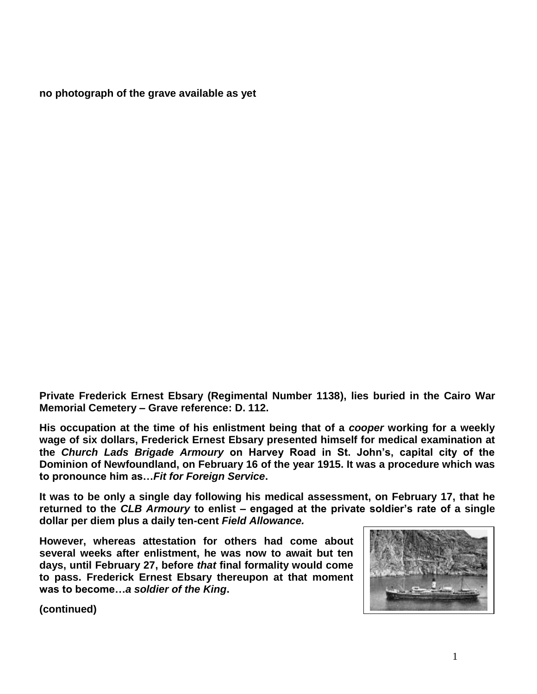**no photograph of the grave available as yet**

**Private Frederick Ernest Ebsary (Regimental Number 1138), lies buried in the Cairo War Memorial Cemetery – Grave reference: D. 112.**

**His occupation at the time of his enlistment being that of a** *cooper* **working for a weekly wage of six dollars, Frederick Ernest Ebsary presented himself for medical examination at the** *Church Lads Brigade Armoury* **on Harvey Road in St. John's, capital city of the Dominion of Newfoundland, on February 16 of the year 1915. It was a procedure which was to pronounce him as…***Fit for Foreign Service***.** 

**It was to be only a single day following his medical assessment, on February 17, that he returned to the** *CLB Armoury* **to enlist – engaged at the private soldier's rate of a single dollar per diem plus a daily ten-cent** *Field Allowance.*

**However, whereas attestation for others had come about several weeks after enlistment, he was now to await but ten days, until February 27, before** *that* **final formality would come to pass. Frederick Ernest Ebsary thereupon at that moment was to become…***a soldier of the King***.**



**(continued)**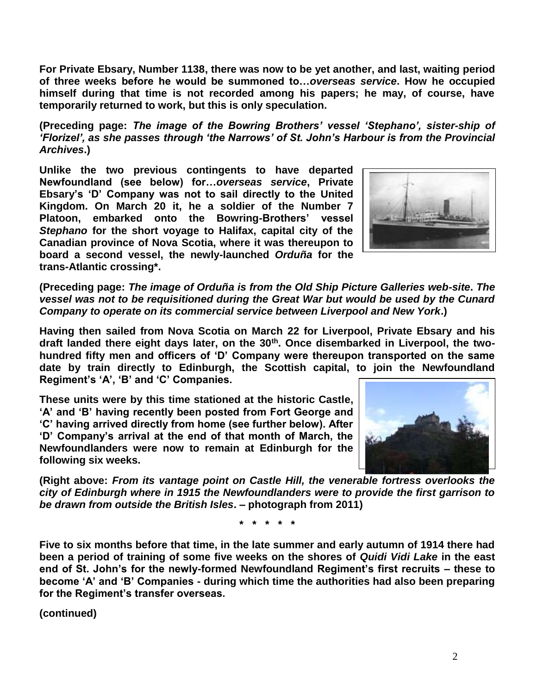**For Private Ebsary, Number 1138, there was now to be yet another, and last, waiting period of three weeks before he would be summoned to…***overseas service***. How he occupied himself during that time is not recorded among his papers; he may, of course, have temporarily returned to work, but this is only speculation.**

**(Preceding page:** *The image of the Bowring Brothers' vessel 'Stephano', sister-ship of 'Florizel', as she passes through 'the Narrows' of St. John's Harbour is from the Provincial Archives***.)** 

**Unlike the two previous contingents to have departed Newfoundland (see below) for…***overseas service***, Private Ebsary's 'D' Company was not to sail directly to the United Kingdom. On March 20 it, he a soldier of the Number 7 Platoon, embarked onto the Bowring-Brothers' vessel**  *Stephano* **for the short voyage to Halifax, capital city of the Canadian province of Nova Scotia, where it was thereupon to board a second vessel, the newly-launched** *Orduña* **for the trans-Atlantic crossing\*.**



**(Preceding page:** *The image of Orduña is from the Old Ship Picture Galleries web-site***.** *The vessel was not to be requisitioned during the Great War but would be used by the Cunard Company to operate on its commercial service between Liverpool and New York***.)**

**Having then sailed from Nova Scotia on March 22 for Liverpool, Private Ebsary and his draft landed there eight days later, on the 30th. Once disembarked in Liverpool, the twohundred fifty men and officers of 'D' Company were thereupon transported on the same date by train directly to Edinburgh, the Scottish capital, to join the Newfoundland Regiment's 'A', 'B' and 'C' Companies.** 

**These units were by this time stationed at the historic Castle, 'A' and 'B' having recently been posted from Fort George and 'C' having arrived directly from home (see further below). After 'D' Company's arrival at the end of that month of March, the Newfoundlanders were now to remain at Edinburgh for the following six weeks.** 



**(Right above:** *From its vantage point on Castle Hill, the venerable fortress overlooks the city of Edinburgh where in 1915 the Newfoundlanders were to provide the first garrison to be drawn from outside the British Isles***. – photograph from 2011)** 

**\* \* \* \* \***

**Five to six months before that time, in the late summer and early autumn of 1914 there had been a period of training of some five weeks on the shores of** *Quidi Vidi Lake* **in the east end of St. John's for the newly-formed Newfoundland Regiment's first recruits – these to become 'A' and 'B' Companies - during which time the authorities had also been preparing for the Regiment's transfer overseas.**

**(continued)**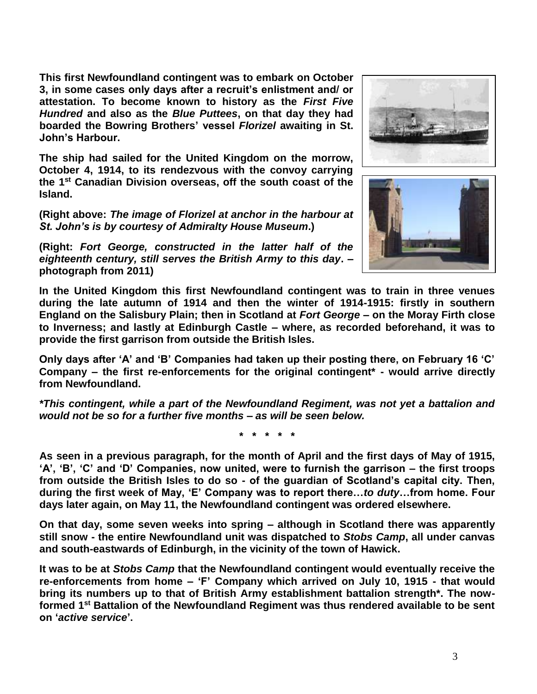**This first Newfoundland contingent was to embark on October 3, in some cases only days after a recruit's enlistment and/ or attestation. To become known to history as the** *First Five Hundred* **and also as the** *Blue Puttees***, on that day they had boarded the Bowring Brothers' vessel** *Florizel* **awaiting in St. John's Harbour.**

**The ship had sailed for the United Kingdom on the morrow, October 4, 1914, to its rendezvous with the convoy carrying the 1st Canadian Division overseas, off the south coast of the Island.** 

**(Right above:** *The image of Florizel at anchor in the harbour at St. John's is by courtesy of Admiralty House Museum***.)**

**(Right:** *Fort George, constructed in the latter half of the eighteenth century, still serves the British Army to this day***. – photograph from 2011)**





**In the United Kingdom this first Newfoundland contingent was to train in three venues during the late autumn of 1914 and then the winter of 1914-1915: firstly in southern England on the Salisbury Plain; then in Scotland at** *Fort George* **– on the Moray Firth close to Inverness; and lastly at Edinburgh Castle – where, as recorded beforehand, it was to provide the first garrison from outside the British Isles.** 

**Only days after 'A' and 'B' Companies had taken up their posting there, on February 16 'C' Company – the first re-enforcements for the original contingent\* - would arrive directly from Newfoundland.**

*\*This contingent, while a part of the Newfoundland Regiment, was not yet a battalion and would not be so for a further five months – as will be seen below.*

**\* \* \* \* \***

**As seen in a previous paragraph, for the month of April and the first days of May of 1915, 'A', 'B', 'C' and 'D' Companies, now united, were to furnish the garrison – the first troops from outside the British Isles to do so - of the guardian of Scotland's capital city. Then, during the first week of May, 'E' Company was to report there…***to duty***…from home. Four days later again, on May 11, the Newfoundland contingent was ordered elsewhere.** 

**On that day, some seven weeks into spring – although in Scotland there was apparently still snow - the entire Newfoundland unit was dispatched to** *Stobs Camp***, all under canvas and south-eastwards of Edinburgh, in the vicinity of the town of Hawick.**

**It was to be at** *Stobs Camp* **that the Newfoundland contingent would eventually receive the re-enforcements from home – 'F' Company which arrived on July 10, 1915 - that would bring its numbers up to that of British Army establishment battalion strength\*. The nowformed 1st Battalion of the Newfoundland Regiment was thus rendered available to be sent on '***active service***'.**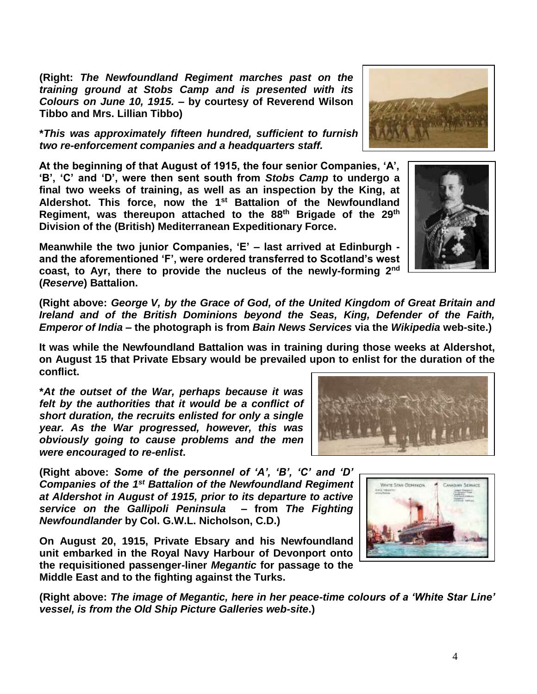**(Right:** *The Newfoundland Regiment marches past on the training ground at Stobs Camp and is presented with its Colours on June 10, 1915.* **– by courtesy of Reverend Wilson Tibbo and Mrs. Lillian Tibbo)**

**\****This was approximately fifteen hundred, sufficient to furnish four 'fighting' companies, two re-enforcement companies and a headquarters staff.*

**At the beginning of that August of 1915, the four senior Companies, 'A', 'B', 'C' and 'D', were then sent south from** *Stobs Camp* **to undergo a final two weeks of training, as well as an inspection by the King, at Aldershot. This force, now the 1st Battalion of the Newfoundland Regiment, was thereupon attached to the 88th Brigade of the 29th Division of the (British) Mediterranean Expeditionary Force.**

**Meanwhile the two junior Companies, 'E' – last arrived at Edinburgh and the aforementioned 'F', were ordered transferred to Scotland's west coast, to Ayr, there to provide the nucleus of the newly-forming 2nd (***Reserve***) Battalion.**

**(Right above:** *George V, by the Grace of God, of the United Kingdom of Great Britain and Ireland and of the British Dominions beyond the Seas, King, Defender of the Faith, Emperor of India* **– the photograph is from** *Bain News Services* **via the** *Wikipedia* **web-site.)**

**It was while the Newfoundland Battalion was in training during those weeks at Aldershot, on August 15 that Private Ebsary would be prevailed upon to enlist for the duration of the conflict.**

**\****At the outset of the War, perhaps because it was felt by the authorities that it would be a conflict of short duration, the recruits enlisted for only a single year. As the War progressed, however, this was obviously going to cause problems and the men were encouraged to re-enlist***.**

**(Right above:** *Some of the personnel of 'A', 'B', 'C' and 'D' Companies of the 1st Battalion of the Newfoundland Regiment at Aldershot in August of 1915, prior to its departure to active service on the Gallipoli Peninsula* **– from** *The Fighting Newfoundlander* **by Col. G.W.L. Nicholson, C.D.)**

**On August 20, 1915, Private Ebsary and his Newfoundland unit embarked in the Royal Navy Harbour of Devonport onto the requisitioned passenger-liner** *Megantic* **for passage to the Middle East and to the fighting against the Turks.**

**(Right above:** *The image of Megantic, here in her peace-time colours of a 'White Star Line' vessel, is from the Old Ship Picture Galleries web-site***.)**







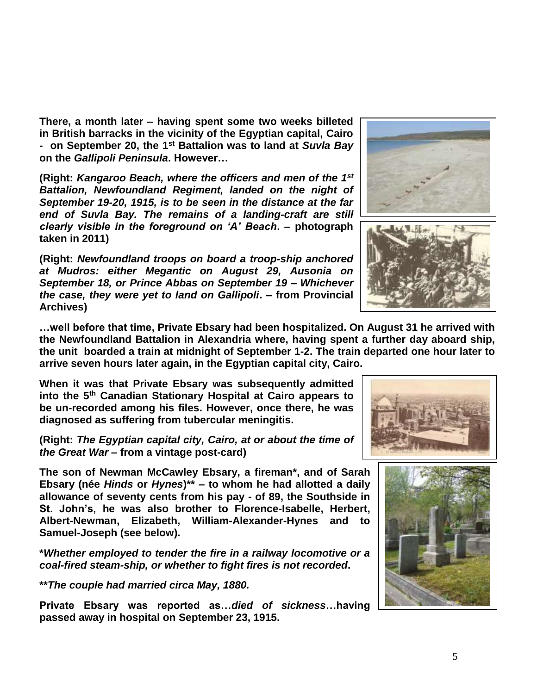**There, a month later – having spent some two weeks billeted in British barracks in the vicinity of the Egyptian capital, Cairo - on September 20, the 1st Battalion was to land at** *Suvla Bay* **on the** *Gallipoli Peninsula***. However…**

**(Right:** *Kangaroo Beach, where the officers and men of the 1st Battalion, Newfoundland Regiment, landed on the night of September 19-20, 1915, is to be seen in the distance at the far end of Suvla Bay. The remains of a landing-craft are still clearly visible in the foreground on 'A' Beach***. – photograph taken in 2011)**

**(Right:** *Newfoundland troops on board a troop-ship anchored at Mudros: either Megantic on August 29, Ausonia on September 18, or Prince Abbas on September 19 – Whichever the case, they were yet to land on Gallipoli***. – from Provincial Archives)**

**…well before that time, Private Ebsary had been hospitalized. On August 31 he arrived with the Newfoundland Battalion in Alexandria where, having spent a further day aboard ship, the unit boarded a train at midnight of September 1-2. The train departed one hour later to arrive seven hours later again, in the Egyptian capital city, Cairo.**

**When it was that Private Ebsary was subsequently admitted into the 5th Canadian Stationary Hospital at Cairo appears to be un-recorded among his files. However, once there, he was diagnosed as suffering from tubercular meningitis.**

**(Right:** *The Egyptian capital city, Cairo, at or about the time of the Great War* **– from a vintage post-card)**

**The son of Newman McCawley Ebsary, a fireman\*, and of Sarah Ebsary (née** *Hinds* **or** *Hynes***)\*\* – to whom he had allotted a daily allowance of seventy cents from his pay - of 89, the Southside in St. John's, he was also brother to Florence-Isabelle, Herbert, Albert-Newman, Elizabeth, William-Alexander-Hynes and to Samuel-Joseph (see below).** 

**\****Whether employed to tender the fire in a railway locomotive or a coal-fired steam-ship, or whether to fight fires is not recorded***.** 

**\*\****The couple had married circa May, 1880.*

**Private Ebsary was reported as…***died of sickness***…having passed away in hospital on September 23, 1915.**